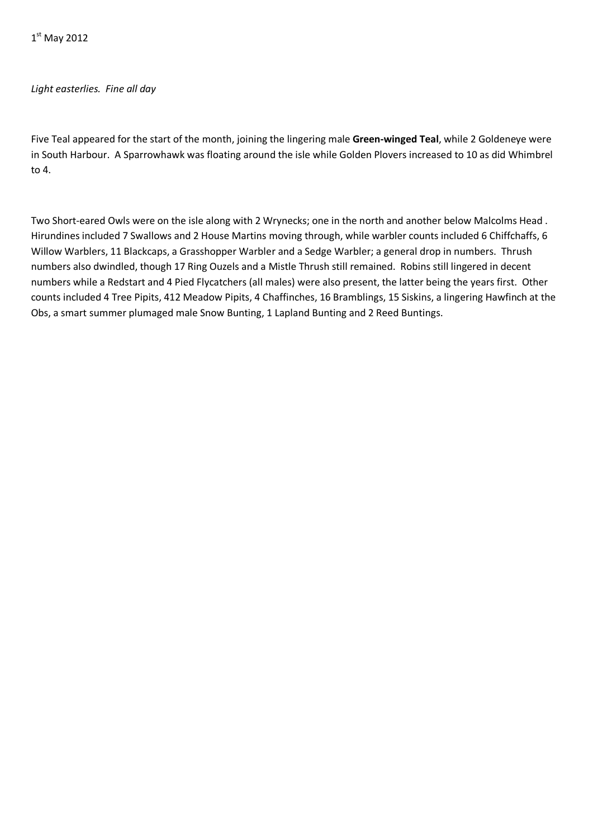# *Light easterlies. Fine all day*

Five Teal appeared for the start of the month, joining the lingering male **Green-winged Teal**, while 2 Goldeneye were in South Harbour. A Sparrowhawk was floating around the isle while Golden Plovers increased to 10 as did Whimbrel to 4.

Two Short-eared Owls were on the isle along with 2 Wrynecks; one in the north and another below Malcolms Head . Hirundines included 7 Swallows and 2 House Martins moving through, while warbler counts included 6 Chiffchaffs, 6 Willow Warblers, 11 Blackcaps, a Grasshopper Warbler and a Sedge Warbler; a general drop in numbers. Thrush numbers also dwindled, though 17 Ring Ouzels and a Mistle Thrush still remained. Robins still lingered in decent numbers while a Redstart and 4 Pied Flycatchers (all males) were also present, the latter being the years first. Other counts included 4 Tree Pipits, 412 Meadow Pipits, 4 Chaffinches, 16 Bramblings, 15 Siskins, a lingering Hawfinch at the Obs, a smart summer plumaged male Snow Bunting, 1 Lapland Bunting and 2 Reed Buntings.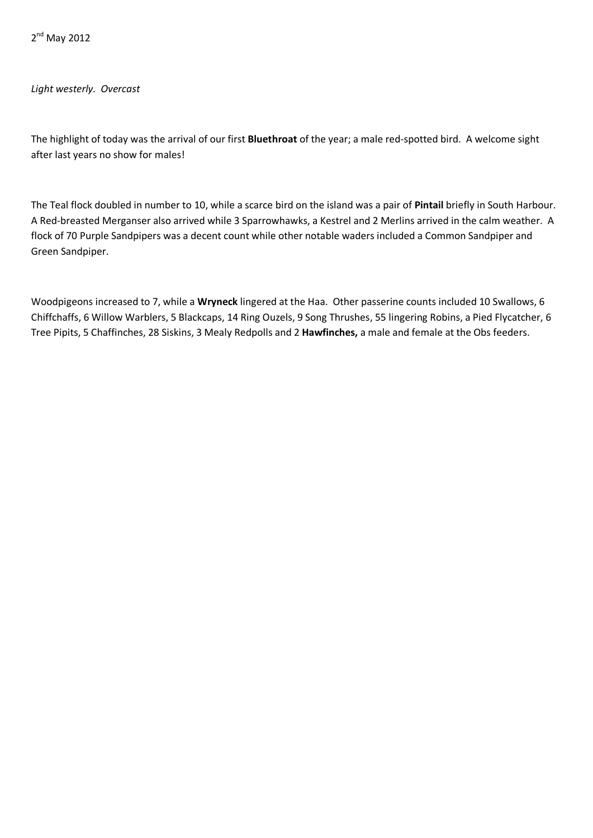2<sup>nd</sup> May 2012

*Light westerly. Overcast*

The highlight of today was the arrival of our first **Bluethroat** of the year; a male red-spotted bird. A welcome sight after last years no show for males!

The Teal flock doubled in number to 10, while a scarce bird on the island was a pair of **Pintail** briefly in South Harbour. A Red-breasted Merganser also arrived while 3 Sparrowhawks, a Kestrel and 2 Merlins arrived in the calm weather. A flock of 70 Purple Sandpipers was a decent count while other notable waders included a Common Sandpiper and Green Sandpiper.

Woodpigeons increased to 7, while a **Wryneck** lingered at the Haa. Other passerine counts included 10 Swallows, 6 Chiffchaffs, 6 Willow Warblers, 5 Blackcaps, 14 Ring Ouzels, 9 Song Thrushes, 55 lingering Robins, a Pied Flycatcher, 6 Tree Pipits, 5 Chaffinches, 28 Siskins, 3 Mealy Redpolls and 2 **Hawfinches,** a male and female at the Obs feeders.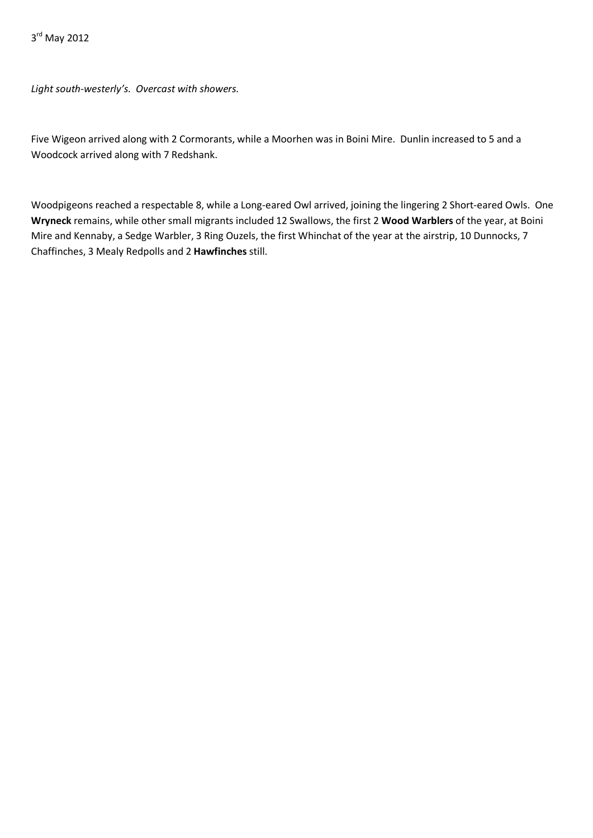3<sup>rd</sup> May 2012

*Light south-westerly's. Overcast with showers.*

Five Wigeon arrived along with 2 Cormorants, while a Moorhen was in Boini Mire. Dunlin increased to 5 and a Woodcock arrived along with 7 Redshank.

Woodpigeons reached a respectable 8, while a Long-eared Owl arrived, joining the lingering 2 Short-eared Owls. One **Wryneck** remains, while other small migrants included 12 Swallows, the first 2 **Wood Warblers** of the year, at Boini Mire and Kennaby, a Sedge Warbler, 3 Ring Ouzels, the first Whinchat of the year at the airstrip, 10 Dunnocks, 7 Chaffinches, 3 Mealy Redpolls and 2 **Hawfinches** still.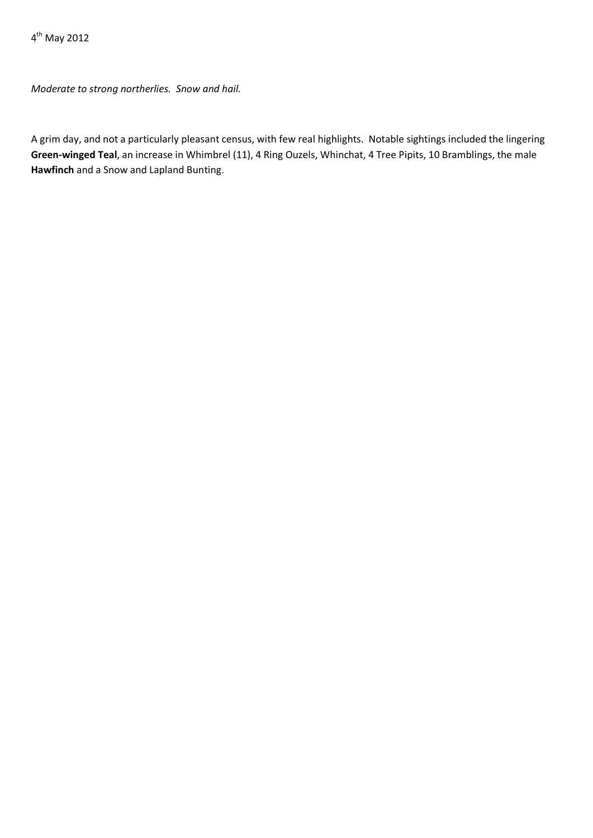4th May 2012

*Moderate to strong northerlies. Snow and hail.*

A grim day, and not a particularly pleasant census, with few real highlights. Notable sightings included the lingering **Green-winged Teal**, an increase in Whimbrel (11), 4 Ring Ouzels, Whinchat, 4 Tree Pipits, 10 Bramblings, the male **Hawfinch** and a Snow and Lapland Bunting.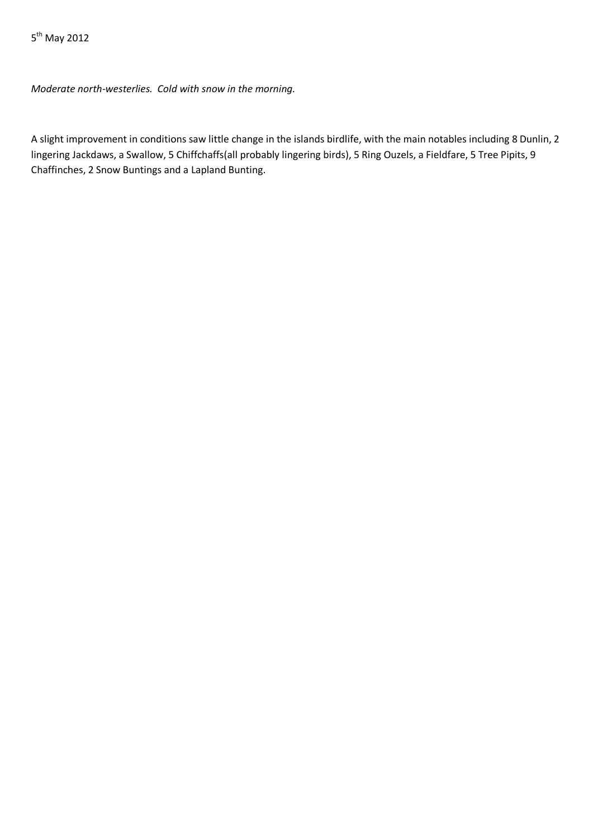*Moderate north-westerlies. Cold with snow in the morning.*

A slight improvement in conditions saw little change in the islands birdlife, with the main notables including 8 Dunlin, 2 lingering Jackdaws, a Swallow, 5 Chiffchaffs(all probably lingering birds), 5 Ring Ouzels, a Fieldfare, 5 Tree Pipits, 9 Chaffinches, 2 Snow Buntings and a Lapland Bunting.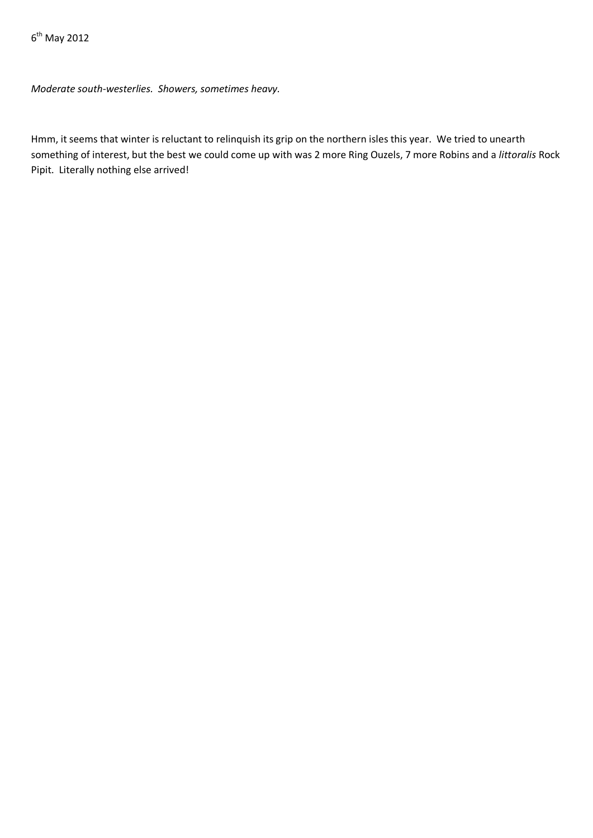*Moderate south-westerlies. Showers, sometimes heavy.*

Hmm, it seems that winter is reluctant to relinquish its grip on the northern isles this year. We tried to unearth something of interest, but the best we could come up with was 2 more Ring Ouzels, 7 more Robins and a *littoralis* Rock Pipit. Literally nothing else arrived!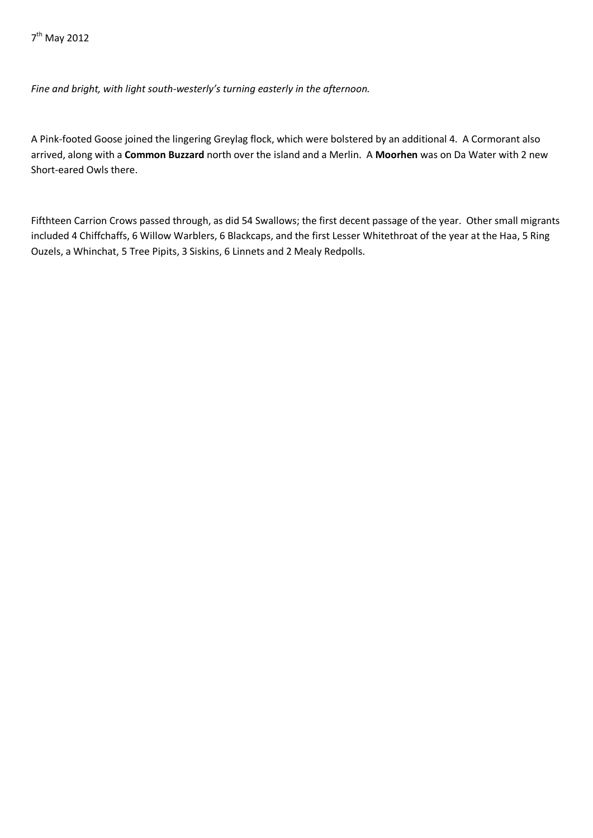*Fine and bright, with light south-westerly's turning easterly in the afternoon.*

A Pink-footed Goose joined the lingering Greylag flock, which were bolstered by an additional 4. A Cormorant also arrived, along with a **Common Buzzard** north over the island and a Merlin. A **Moorhen** was on Da Water with 2 new Short-eared Owls there.

Fifthteen Carrion Crows passed through, as did 54 Swallows; the first decent passage of the year. Other small migrants included 4 Chiffchaffs, 6 Willow Warblers, 6 Blackcaps, and the first Lesser Whitethroat of the year at the Haa, 5 Ring Ouzels, a Whinchat, 5 Tree Pipits, 3 Siskins, 6 Linnets and 2 Mealy Redpolls.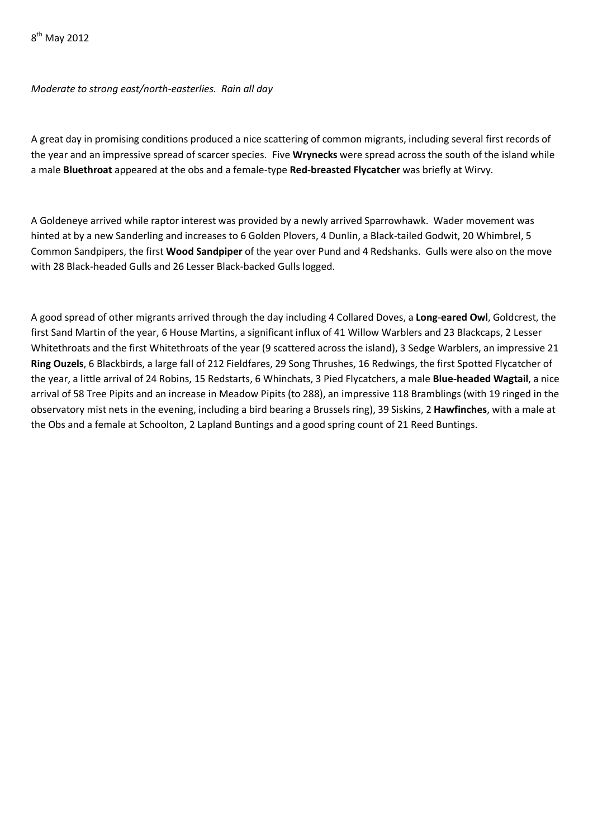# *Moderate to strong east/north-easterlies. Rain all day*

A great day in promising conditions produced a nice scattering of common migrants, including several first records of the year and an impressive spread of scarcer species. Five **Wrynecks** were spread across the south of the island while a male **Bluethroat** appeared at the obs and a female-type **Red-breasted Flycatcher** was briefly at Wirvy.

A Goldeneye arrived while raptor interest was provided by a newly arrived Sparrowhawk. Wader movement was hinted at by a new Sanderling and increases to 6 Golden Plovers, 4 Dunlin, a Black-tailed Godwit, 20 Whimbrel, 5 Common Sandpipers, the first **Wood Sandpiper** of the year over Pund and 4 Redshanks. Gulls were also on the move with 28 Black-headed Gulls and 26 Lesser Black-backed Gulls logged.

A good spread of other migrants arrived through the day including 4 Collared Doves, a **Long**-**eared Owl**, Goldcrest, the first Sand Martin of the year, 6 House Martins, a significant influx of 41 Willow Warblers and 23 Blackcaps, 2 Lesser Whitethroats and the first Whitethroats of the year (9 scattered across the island), 3 Sedge Warblers, an impressive 21 **Ring Ouzels**, 6 Blackbirds, a large fall of 212 Fieldfares, 29 Song Thrushes, 16 Redwings, the first Spotted Flycatcher of the year, a little arrival of 24 Robins, 15 Redstarts, 6 Whinchats, 3 Pied Flycatchers, a male **Blue-headed Wagtail**, a nice arrival of 58 Tree Pipits and an increase in Meadow Pipits (to 288), an impressive 118 Bramblings (with 19 ringed in the observatory mist nets in the evening, including a bird bearing a Brussels ring), 39 Siskins, 2 **Hawfinches**, with a male at the Obs and a female at Schoolton, 2 Lapland Buntings and a good spring count of 21 Reed Buntings.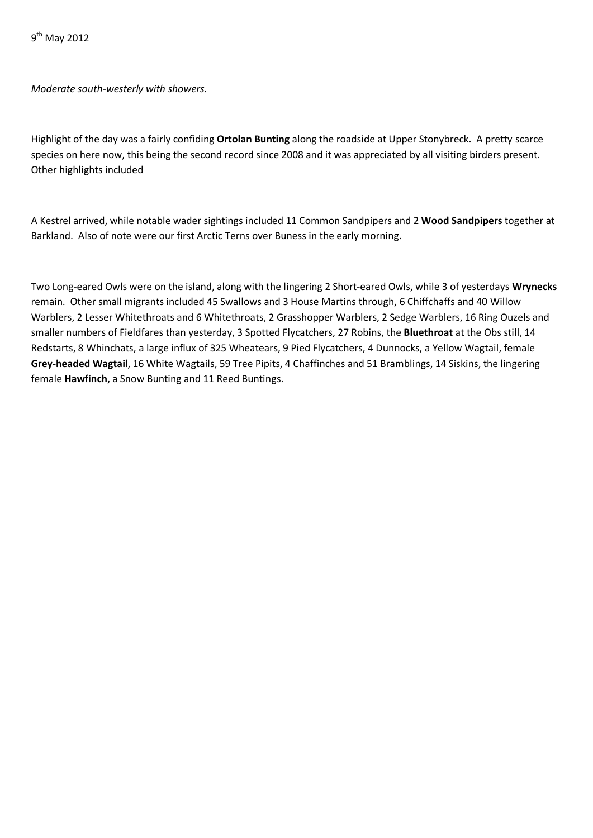*Moderate south-westerly with showers.*

Highlight of the day was a fairly confiding **Ortolan Bunting** along the roadside at Upper Stonybreck. A pretty scarce species on here now, this being the second record since 2008 and it was appreciated by all visiting birders present. Other highlights included

A Kestrel arrived, while notable wader sightings included 11 Common Sandpipers and 2 **Wood Sandpipers** together at Barkland. Also of note were our first Arctic Terns over Buness in the early morning.

Two Long-eared Owls were on the island, along with the lingering 2 Short-eared Owls, while 3 of yesterdays **Wrynecks**  remain. Other small migrants included 45 Swallows and 3 House Martins through, 6 Chiffchaffs and 40 Willow Warblers, 2 Lesser Whitethroats and 6 Whitethroats, 2 Grasshopper Warblers, 2 Sedge Warblers, 16 Ring Ouzels and smaller numbers of Fieldfares than yesterday, 3 Spotted Flycatchers, 27 Robins, the **Bluethroat** at the Obs still, 14 Redstarts, 8 Whinchats, a large influx of 325 Wheatears, 9 Pied Flycatchers, 4 Dunnocks, a Yellow Wagtail, female **Grey-headed Wagtail**, 16 White Wagtails, 59 Tree Pipits, 4 Chaffinches and 51 Bramblings, 14 Siskins, the lingering female **Hawfinch**, a Snow Bunting and 11 Reed Buntings.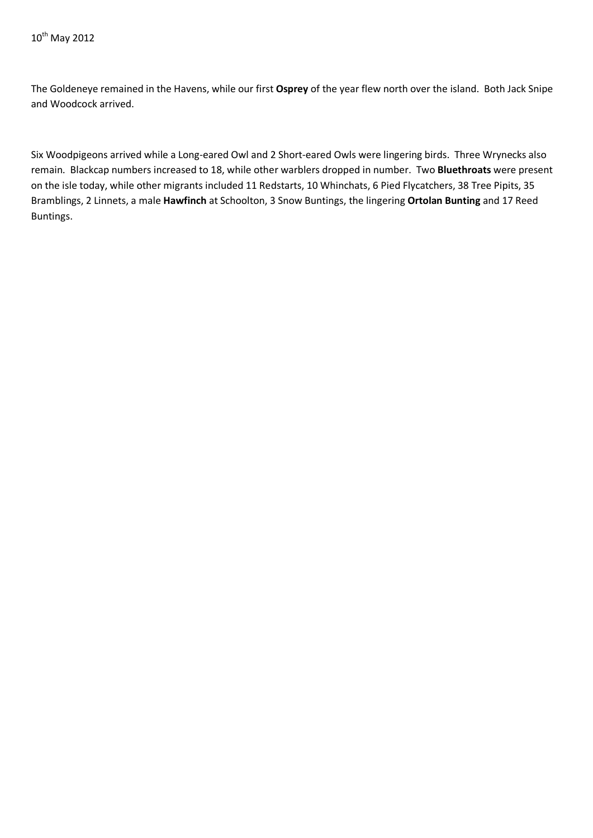The Goldeneye remained in the Havens, while our first **Osprey** of the year flew north over the island. Both Jack Snipe and Woodcock arrived.

Six Woodpigeons arrived while a Long-eared Owl and 2 Short-eared Owls were lingering birds. Three Wrynecks also remain. Blackcap numbers increased to 18, while other warblers dropped in number. Two **Bluethroats** were present on the isle today, while other migrants included 11 Redstarts, 10 Whinchats, 6 Pied Flycatchers, 38 Tree Pipits, 35 Bramblings, 2 Linnets, a male **Hawfinch** at Schoolton, 3 Snow Buntings, the lingering **Ortolan Bunting** and 17 Reed Buntings.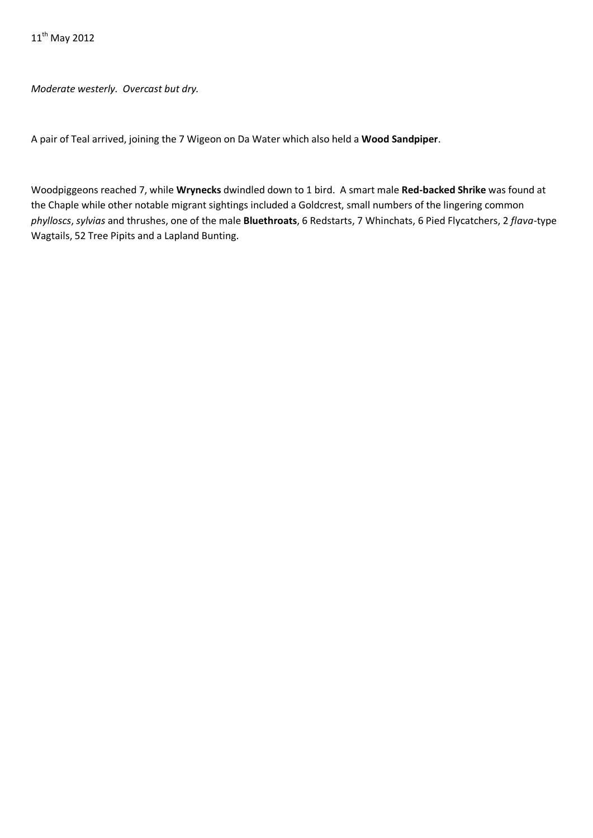*Moderate westerly. Overcast but dry.*

A pair of Teal arrived, joining the 7 Wigeon on Da Water which also held a **Wood Sandpiper**.

Woodpiggeons reached 7, while **Wrynecks** dwindled down to 1 bird. A smart male **Red-backed Shrike** was found at the Chaple while other notable migrant sightings included a Goldcrest, small numbers of the lingering common *phylloscs*, *sylvias* and thrushes, one of the male **Bluethroats**, 6 Redstarts, 7 Whinchats, 6 Pied Flycatchers, 2 *flava*-type Wagtails, 52 Tree Pipits and a Lapland Bunting.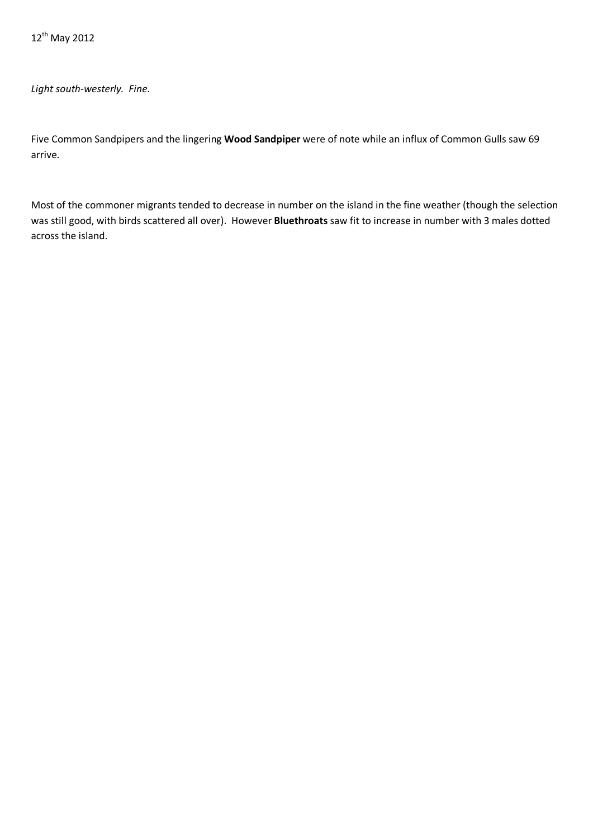*Light south-westerly. Fine.*

Five Common Sandpipers and the lingering **Wood Sandpiper** were of note while an influx of Common Gulls saw 69 arrive.

Most of the commoner migrants tended to decrease in number on the island in the fine weather (though the selection was still good, with birds scattered all over). However **Bluethroats** saw fit to increase in number with 3 males dotted across the island.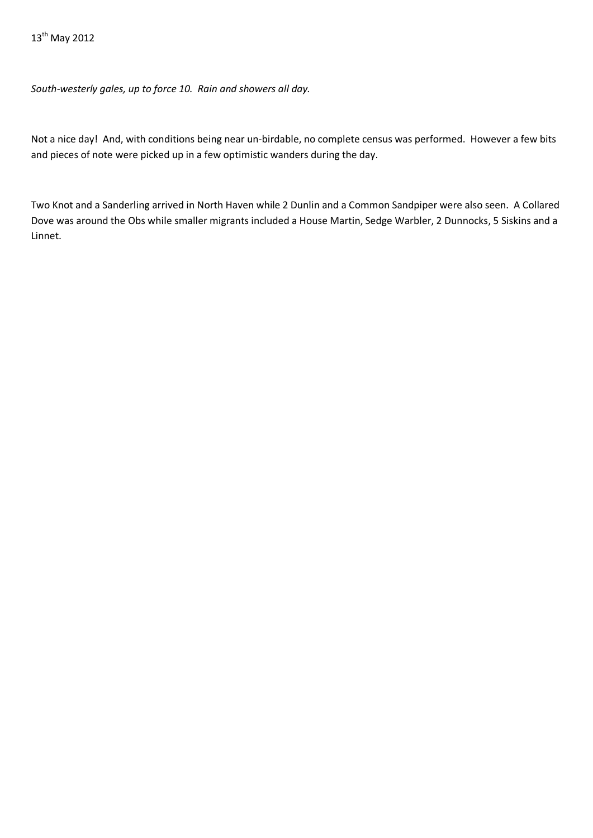*South-westerly gales, up to force 10. Rain and showers all day.*

Not a nice day! And, with conditions being near un-birdable, no complete census was performed. However a few bits and pieces of note were picked up in a few optimistic wanders during the day.

Two Knot and a Sanderling arrived in North Haven while 2 Dunlin and a Common Sandpiper were also seen. A Collared Dove was around the Obs while smaller migrants included a House Martin, Sedge Warbler, 2 Dunnocks, 5 Siskins and a Linnet.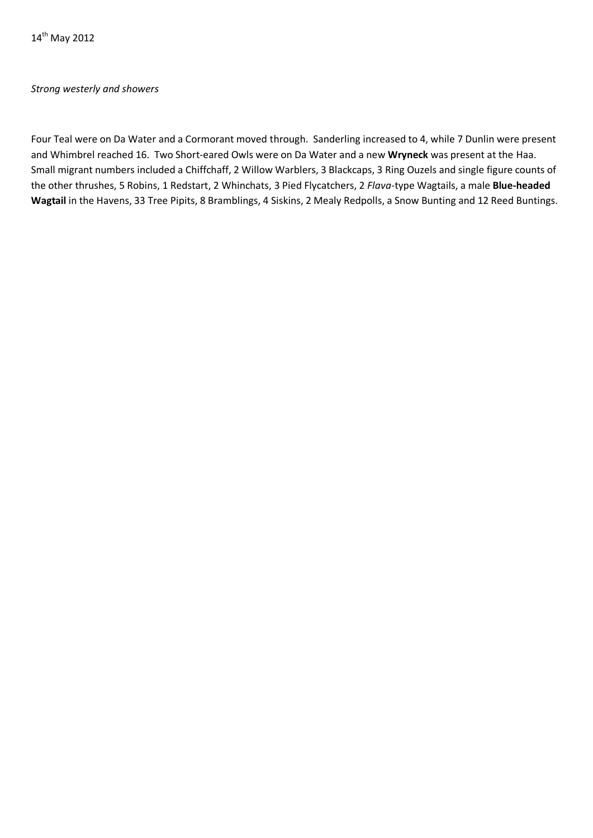#### *Strong westerly and showers*

Four Teal were on Da Water and a Cormorant moved through. Sanderling increased to 4, while 7 Dunlin were present and Whimbrel reached 16. Two Short-eared Owls were on Da Water and a new **Wryneck** was present at the Haa. Small migrant numbers included a Chiffchaff, 2 Willow Warblers, 3 Blackcaps, 3 Ring Ouzels and single figure counts of the other thrushes, 5 Robins, 1 Redstart, 2 Whinchats, 3 Pied Flycatchers, 2 *Flava*-type Wagtails, a male **Blue-headed Wagtail** in the Havens, 33 Tree Pipits, 8 Bramblings, 4 Siskins, 2 Mealy Redpolls, a Snow Bunting and 12 Reed Buntings.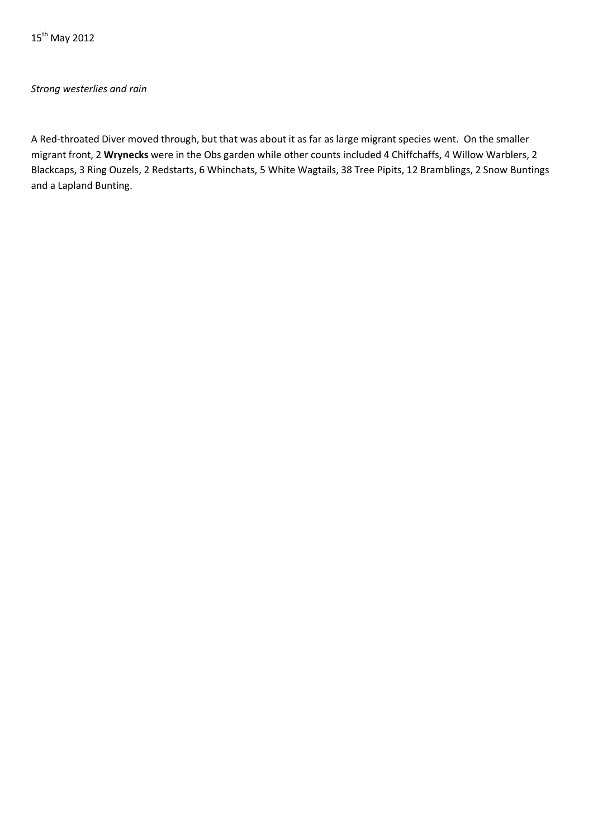15<sup>th</sup> May 2012

## *Strong westerlies and rain*

A Red-throated Diver moved through, but that was about it as far as large migrant species went. On the smaller migrant front, 2 **Wrynecks** were in the Obs garden while other counts included 4 Chiffchaffs, 4 Willow Warblers, 2 Blackcaps, 3 Ring Ouzels, 2 Redstarts, 6 Whinchats, 5 White Wagtails, 38 Tree Pipits, 12 Bramblings, 2 Snow Buntings and a Lapland Bunting.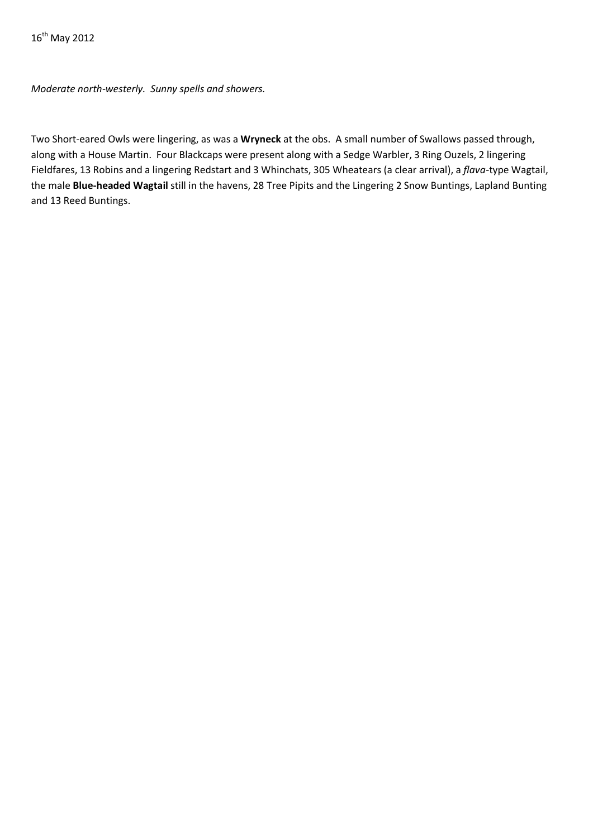*Moderate north-westerly. Sunny spells and showers.*

Two Short-eared Owls were lingering, as was a **Wryneck** at the obs. A small number of Swallows passed through, along with a House Martin. Four Blackcaps were present along with a Sedge Warbler, 3 Ring Ouzels, 2 lingering Fieldfares, 13 Robins and a lingering Redstart and 3 Whinchats, 305 Wheatears (a clear arrival), a *flava*-type Wagtail, the male **Blue-headed Wagtail** still in the havens, 28 Tree Pipits and the Lingering 2 Snow Buntings, Lapland Bunting and 13 Reed Buntings.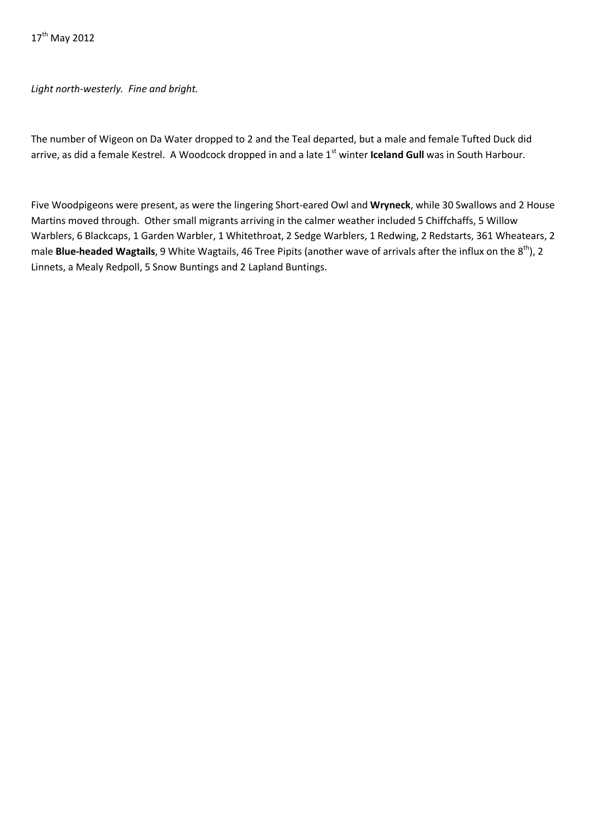# *Light north-westerly. Fine and bright.*

The number of Wigeon on Da Water dropped to 2 and the Teal departed, but a male and female Tufted Duck did arrive, as did a female Kestrel. A Woodcock dropped in and a late 1<sup>st</sup> winter **Iceland Gull** was in South Harbour.

Five Woodpigeons were present, as were the lingering Short-eared Owl and **Wryneck**, while 30 Swallows and 2 House Martins moved through. Other small migrants arriving in the calmer weather included 5 Chiffchaffs, 5 Willow Warblers, 6 Blackcaps, 1 Garden Warbler, 1 Whitethroat, 2 Sedge Warblers, 1 Redwing, 2 Redstarts, 361 Wheatears, 2 male **Blue-headed Wagtails**, 9 White Wagtails, 46 Tree Pipits (another wave of arrivals after the influx on the 8<sup>th</sup>), 2 Linnets, a Mealy Redpoll, 5 Snow Buntings and 2 Lapland Buntings.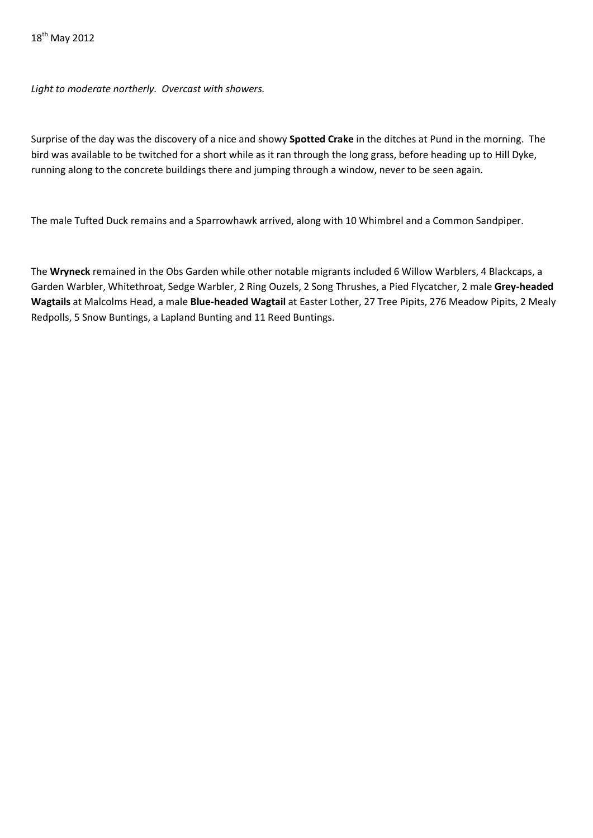*Light to moderate northerly. Overcast with showers.*

Surprise of the day was the discovery of a nice and showy **Spotted Crake** in the ditches at Pund in the morning. The bird was available to be twitched for a short while as it ran through the long grass, before heading up to Hill Dyke, running along to the concrete buildings there and jumping through a window, never to be seen again.

The male Tufted Duck remains and a Sparrowhawk arrived, along with 10 Whimbrel and a Common Sandpiper.

The **Wryneck** remained in the Obs Garden while other notable migrants included 6 Willow Warblers, 4 Blackcaps, a Garden Warbler, Whitethroat, Sedge Warbler, 2 Ring Ouzels, 2 Song Thrushes, a Pied Flycatcher, 2 male **Grey-headed Wagtails** at Malcolms Head, a male **Blue-headed Wagtail** at Easter Lother, 27 Tree Pipits, 276 Meadow Pipits, 2 Mealy Redpolls, 5 Snow Buntings, a Lapland Bunting and 11 Reed Buntings.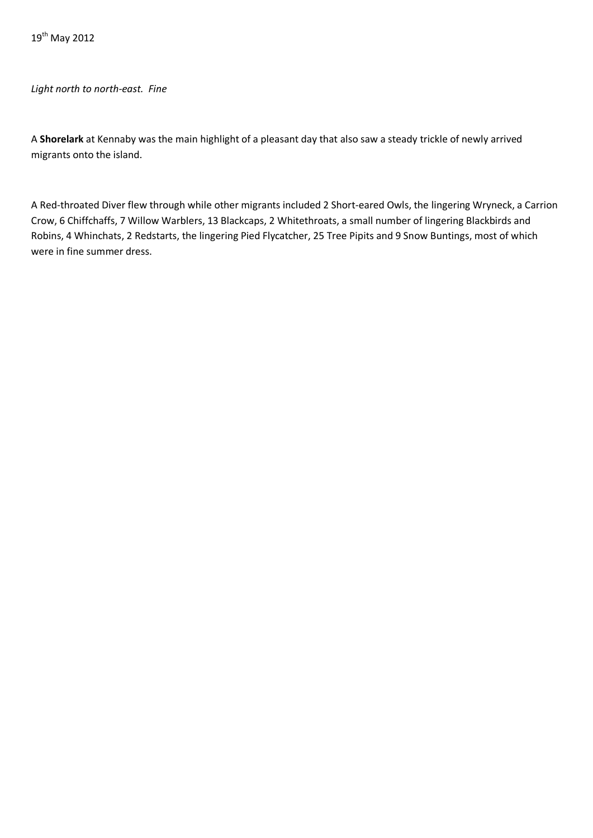*Light north to north-east. Fine*

A **Shorelark** at Kennaby was the main highlight of a pleasant day that also saw a steady trickle of newly arrived migrants onto the island.

A Red-throated Diver flew through while other migrants included 2 Short-eared Owls, the lingering Wryneck, a Carrion Crow, 6 Chiffchaffs, 7 Willow Warblers, 13 Blackcaps, 2 Whitethroats, a small number of lingering Blackbirds and Robins, 4 Whinchats, 2 Redstarts, the lingering Pied Flycatcher, 25 Tree Pipits and 9 Snow Buntings, most of which were in fine summer dress.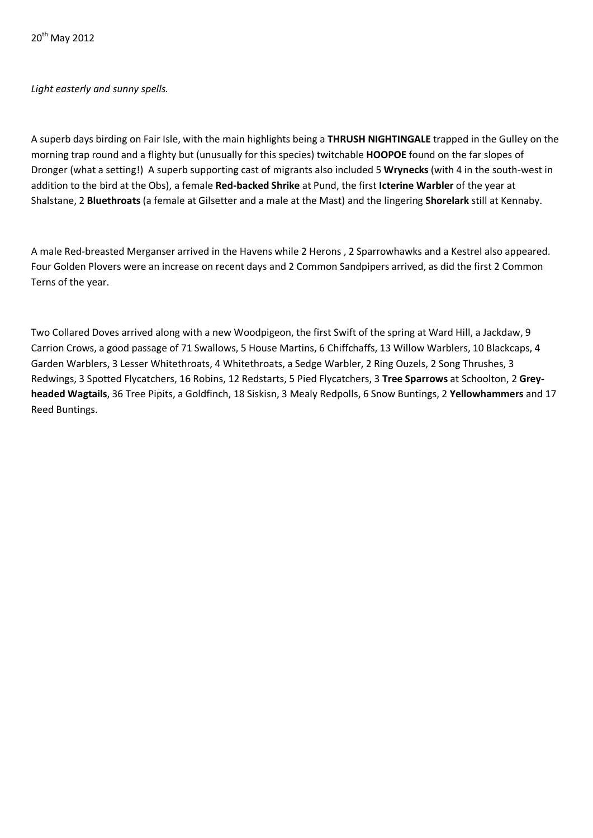## *Light easterly and sunny spells.*

A superb days birding on Fair Isle, with the main highlights being a **THRUSH NIGHTINGALE** trapped in the Gulley on the morning trap round and a flighty but (unusually for this species) twitchable **HOOPOE** found on the far slopes of Dronger (what a setting!) A superb supporting cast of migrants also included 5 **Wrynecks** (with 4 in the south-west in addition to the bird at the Obs), a female **Red-backed Shrike** at Pund, the first **Icterine Warbler** of the year at Shalstane, 2 **Bluethroats** (a female at Gilsetter and a male at the Mast) and the lingering **Shorelark** still at Kennaby.

A male Red-breasted Merganser arrived in the Havens while 2 Herons , 2 Sparrowhawks and a Kestrel also appeared. Four Golden Plovers were an increase on recent days and 2 Common Sandpipers arrived, as did the first 2 Common Terns of the year.

Two Collared Doves arrived along with a new Woodpigeon, the first Swift of the spring at Ward Hill, a Jackdaw, 9 Carrion Crows, a good passage of 71 Swallows, 5 House Martins, 6 Chiffchaffs, 13 Willow Warblers, 10 Blackcaps, 4 Garden Warblers, 3 Lesser Whitethroats, 4 Whitethroats, a Sedge Warbler, 2 Ring Ouzels, 2 Song Thrushes, 3 Redwings, 3 Spotted Flycatchers, 16 Robins, 12 Redstarts, 5 Pied Flycatchers, 3 **Tree Sparrows** at Schoolton, 2 **Greyheaded Wagtails**, 36 Tree Pipits, a Goldfinch, 18 Siskisn, 3 Mealy Redpolls, 6 Snow Buntings, 2 **Yellowhammers** and 17 Reed Buntings.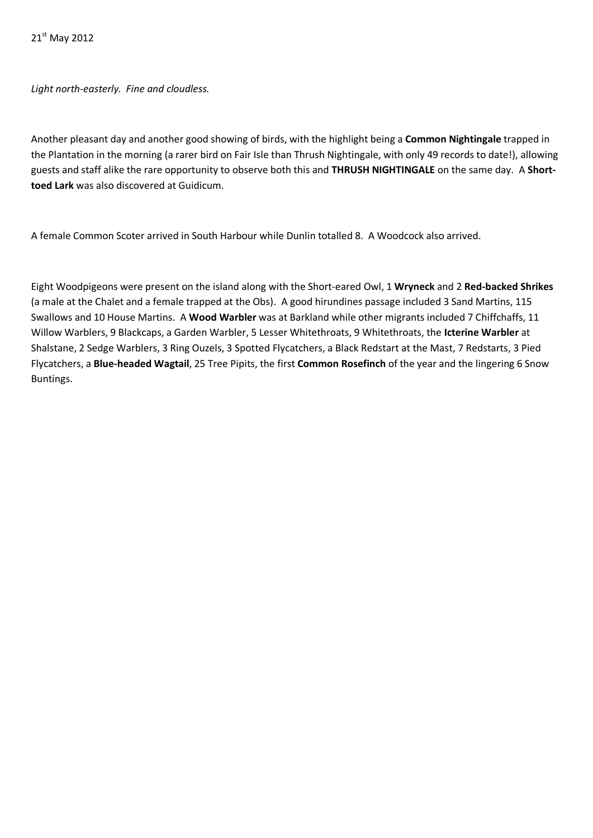21<sup>st</sup> May 2012

*Light north-easterly. Fine and cloudless.* 

Another pleasant day and another good showing of birds, with the highlight being a **Common Nightingale** trapped in the Plantation in the morning (a rarer bird on Fair Isle than Thrush Nightingale, with only 49 records to date!), allowing guests and staff alike the rare opportunity to observe both this and **THRUSH NIGHTINGALE** on the same day. A **Shorttoed Lark** was also discovered at Guidicum.

A female Common Scoter arrived in South Harbour while Dunlin totalled 8. A Woodcock also arrived.

Eight Woodpigeons were present on the island along with the Short-eared Owl, 1 **Wryneck** and 2 **Red-backed Shrikes**  (a male at the Chalet and a female trapped at the Obs). A good hirundines passage included 3 Sand Martins, 115 Swallows and 10 House Martins. A **Wood Warbler** was at Barkland while other migrants included 7 Chiffchaffs, 11 Willow Warblers, 9 Blackcaps, a Garden Warbler, 5 Lesser Whitethroats, 9 Whitethroats, the **Icterine Warbler** at Shalstane, 2 Sedge Warblers, 3 Ring Ouzels, 3 Spotted Flycatchers, a Black Redstart at the Mast, 7 Redstarts, 3 Pied Flycatchers, a **Blue-headed Wagtail**, 25 Tree Pipits, the first **Common Rosefinch** of the year and the lingering 6 Snow Buntings.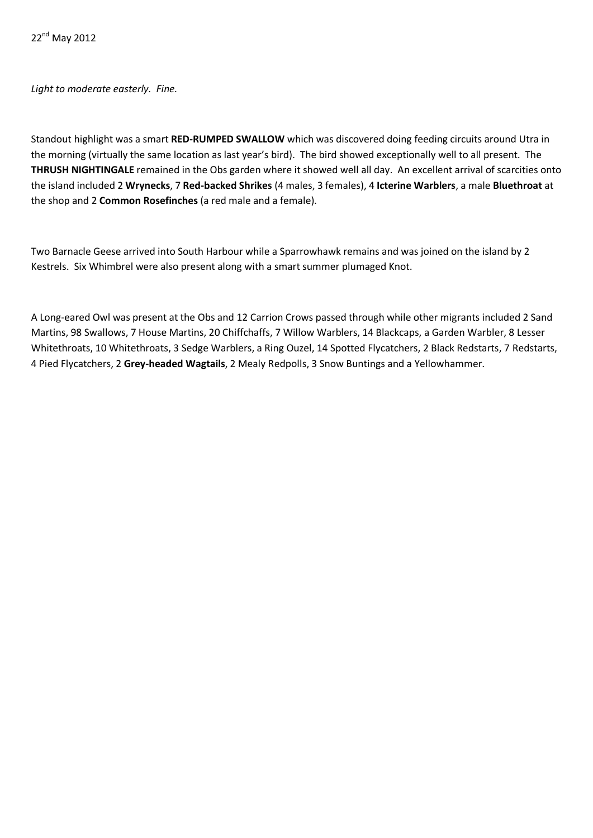*Light to moderate easterly. Fine.*

Standout highlight was a smart **RED-RUMPED SWALLOW** which was discovered doing feeding circuits around Utra in the morning (virtually the same location as last year's bird). The bird showed exceptionally well to all present. The **THRUSH NIGHTINGALE** remained in the Obs garden where it showed well all day. An excellent arrival of scarcities onto the island included 2 **Wrynecks**, 7 **Red-backed Shrikes** (4 males, 3 females), 4 **Icterine Warblers**, a male **Bluethroat** at the shop and 2 **Common Rosefinches** (a red male and a female).

Two Barnacle Geese arrived into South Harbour while a Sparrowhawk remains and was joined on the island by 2 Kestrels. Six Whimbrel were also present along with a smart summer plumaged Knot.

A Long-eared Owl was present at the Obs and 12 Carrion Crows passed through while other migrants included 2 Sand Martins, 98 Swallows, 7 House Martins, 20 Chiffchaffs, 7 Willow Warblers, 14 Blackcaps, a Garden Warbler, 8 Lesser Whitethroats, 10 Whitethroats, 3 Sedge Warblers, a Ring Ouzel, 14 Spotted Flycatchers, 2 Black Redstarts, 7 Redstarts, 4 Pied Flycatchers, 2 **Grey-headed Wagtails**, 2 Mealy Redpolls, 3 Snow Buntings and a Yellowhammer.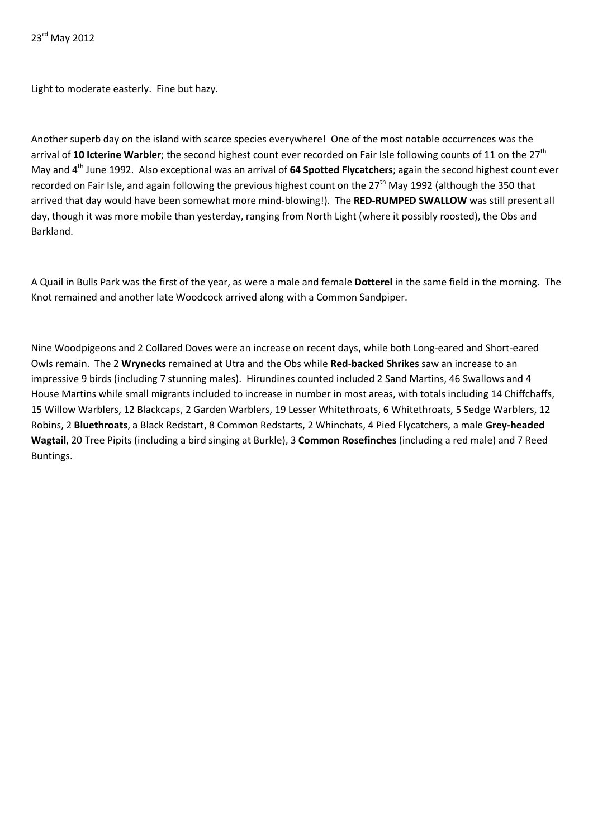23<sup>rd</sup> May 2012

Light to moderate easterly. Fine but hazy.

Another superb day on the island with scarce species everywhere! One of the most notable occurrences was the arrival of 10 **Icterine Warbler**; the second highest count ever recorded on Fair Isle following counts of 11 on the 27<sup>th</sup> May and 4th June 1992. Also exceptional was an arrival of **64 Spotted Flycatchers**; again the second highest count ever recorded on Fair Isle, and again following the previous highest count on the  $27<sup>th</sup>$  May 1992 (although the 350 that arrived that day would have been somewhat more mind-blowing!). The **RED-RUMPED SWALLOW** was still present all day, though it was more mobile than yesterday, ranging from North Light (where it possibly roosted), the Obs and Barkland.

A Quail in Bulls Park was the first of the year, as were a male and female **Dotterel** in the same field in the morning. The Knot remained and another late Woodcock arrived along with a Common Sandpiper.

Nine Woodpigeons and 2 Collared Doves were an increase on recent days, while both Long-eared and Short-eared Owls remain. The 2 **Wrynecks** remained at Utra and the Obs while **Red**-**backed Shrikes** saw an increase to an impressive 9 birds (including 7 stunning males). Hirundines counted included 2 Sand Martins, 46 Swallows and 4 House Martins while small migrants included to increase in number in most areas, with totals including 14 Chiffchaffs, 15 Willow Warblers, 12 Blackcaps, 2 Garden Warblers, 19 Lesser Whitethroats, 6 Whitethroats, 5 Sedge Warblers, 12 Robins, 2 **Bluethroats**, a Black Redstart, 8 Common Redstarts, 2 Whinchats, 4 Pied Flycatchers, a male **Grey-headed Wagtail**, 20 Tree Pipits (including a bird singing at Burkle), 3 **Common Rosefinches** (including a red male) and 7 Reed Buntings.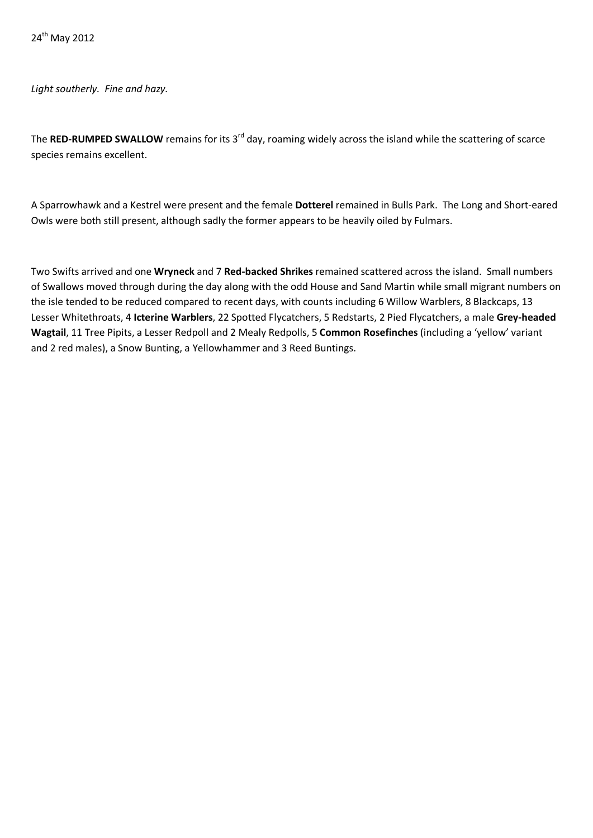*Light southerly. Fine and hazy.*

The **RED-RUMPED SWALLOW** remains for its 3rd day, roaming widely across the island while the scattering of scarce species remains excellent.

A Sparrowhawk and a Kestrel were present and the female **Dotterel** remained in Bulls Park. The Long and Short-eared Owls were both still present, although sadly the former appears to be heavily oiled by Fulmars.

Two Swifts arrived and one **Wryneck** and 7 **Red-backed Shrikes** remained scattered across the island. Small numbers of Swallows moved through during the day along with the odd House and Sand Martin while small migrant numbers on the isle tended to be reduced compared to recent days, with counts including 6 Willow Warblers, 8 Blackcaps, 13 Lesser Whitethroats, 4 **Icterine Warblers**, 22 Spotted Flycatchers, 5 Redstarts, 2 Pied Flycatchers, a male **Grey-headed Wagtail**, 11 Tree Pipits, a Lesser Redpoll and 2 Mealy Redpolls, 5 **Common Rosefinches** (including a 'yellow' variant and 2 red males), a Snow Bunting, a Yellowhammer and 3 Reed Buntings.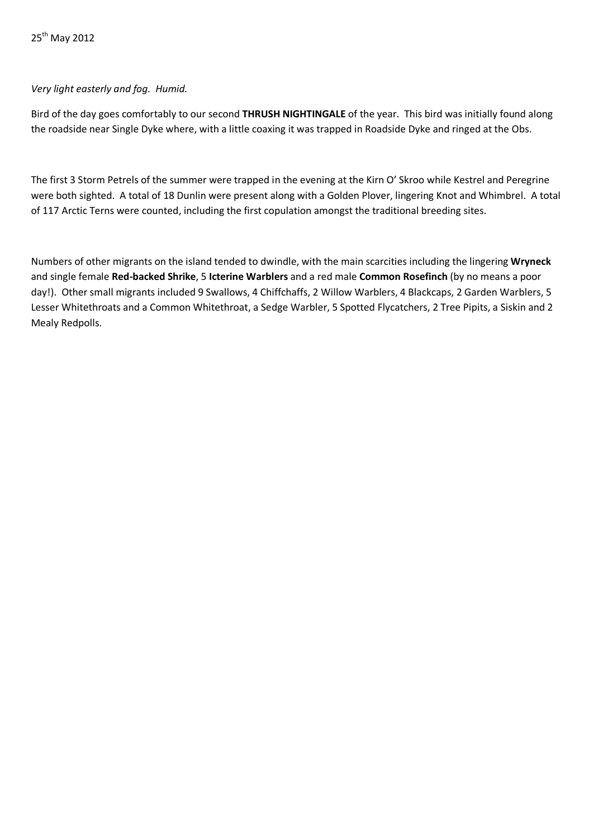# *Very light easterly and fog. Humid.*

Bird of the day goes comfortably to our second **THRUSH NIGHTINGALE** of the year. This bird was initially found along the roadside near Single Dyke where, with a little coaxing it was trapped in Roadside Dyke and ringed at the Obs.

The first 3 Storm Petrels of the summer were trapped in the evening at the Kirn O' Skroo while Kestrel and Peregrine were both sighted. A total of 18 Dunlin were present along with a Golden Plover, lingering Knot and Whimbrel. A total of 117 Arctic Terns were counted, including the first copulation amongst the traditional breeding sites.

Numbers of other migrants on the island tended to dwindle, with the main scarcities including the lingering **Wryneck** and single female **Red-backed Shrike**, 5 **Icterine Warblers** and a red male **Common Rosefinch** (by no means a poor day!). Other small migrants included 9 Swallows, 4 Chiffchaffs, 2 Willow Warblers, 4 Blackcaps, 2 Garden Warblers, 5 Lesser Whitethroats and a Common Whitethroat, a Sedge Warbler, 5 Spotted Flycatchers, 2 Tree Pipits, a Siskin and 2 Mealy Redpolls.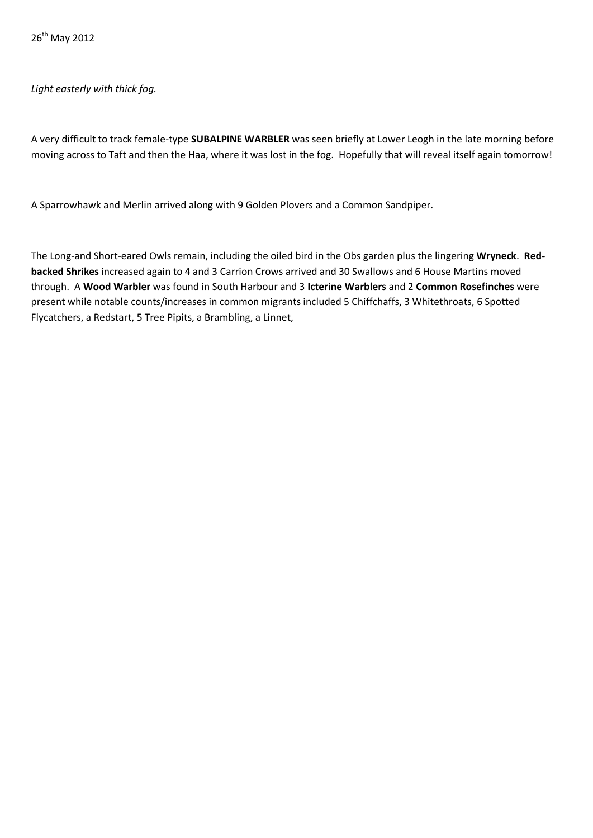*Light easterly with thick fog.*

A very difficult to track female-type **SUBALPINE WARBLER** was seen briefly at Lower Leogh in the late morning before moving across to Taft and then the Haa, where it was lost in the fog. Hopefully that will reveal itself again tomorrow!

A Sparrowhawk and Merlin arrived along with 9 Golden Plovers and a Common Sandpiper.

The Long-and Short-eared Owls remain, including the oiled bird in the Obs garden plus the lingering **Wryneck**. **Redbacked Shrikes** increased again to 4 and 3 Carrion Crows arrived and 30 Swallows and 6 House Martins moved through. A **Wood Warbler** was found in South Harbour and 3 **Icterine Warblers** and 2 **Common Rosefinches** were present while notable counts/increases in common migrants included 5 Chiffchaffs, 3 Whitethroats, 6 Spotted Flycatchers, a Redstart, 5 Tree Pipits, a Brambling, a Linnet,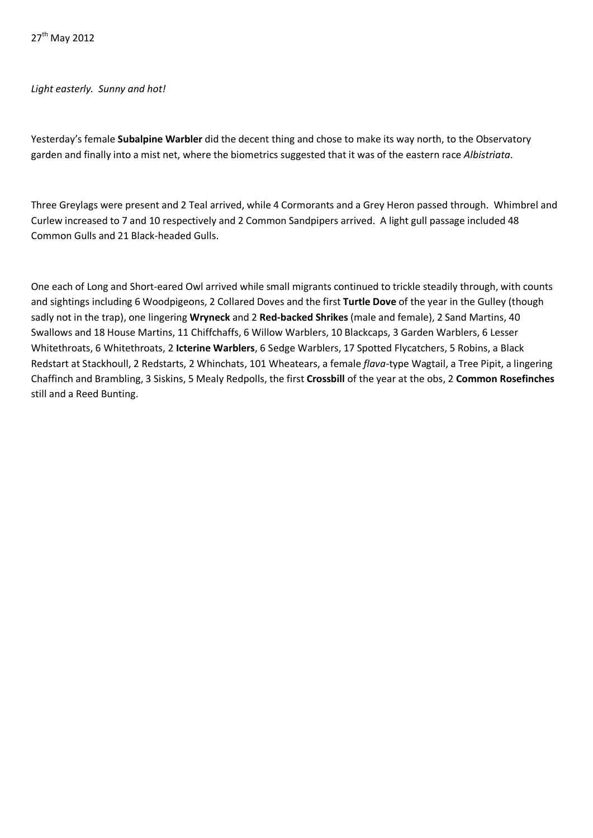## *Light easterly. Sunny and hot!*

Yesterday's female **Subalpine Warbler** did the decent thing and chose to make its way north, to the Observatory garden and finally into a mist net, where the biometrics suggested that it was of the eastern race *Albistriata*.

Three Greylags were present and 2 Teal arrived, while 4 Cormorants and a Grey Heron passed through. Whimbrel and Curlew increased to 7 and 10 respectively and 2 Common Sandpipers arrived. A light gull passage included 48 Common Gulls and 21 Black-headed Gulls.

One each of Long and Short-eared Owl arrived while small migrants continued to trickle steadily through, with counts and sightings including 6 Woodpigeons, 2 Collared Doves and the first **Turtle Dove** of the year in the Gulley (though sadly not in the trap), one lingering **Wryneck** and 2 **Red-backed Shrikes** (male and female), 2 Sand Martins, 40 Swallows and 18 House Martins, 11 Chiffchaffs, 6 Willow Warblers, 10 Blackcaps, 3 Garden Warblers, 6 Lesser Whitethroats, 6 Whitethroats, 2 **Icterine Warblers**, 6 Sedge Warblers, 17 Spotted Flycatchers, 5 Robins, a Black Redstart at Stackhoull, 2 Redstarts, 2 Whinchats, 101 Wheatears, a female *flava-*type Wagtail, a Tree Pipit, a lingering Chaffinch and Brambling, 3 Siskins, 5 Mealy Redpolls, the first **Crossbill** of the year at the obs, 2 **Common Rosefinches** still and a Reed Bunting.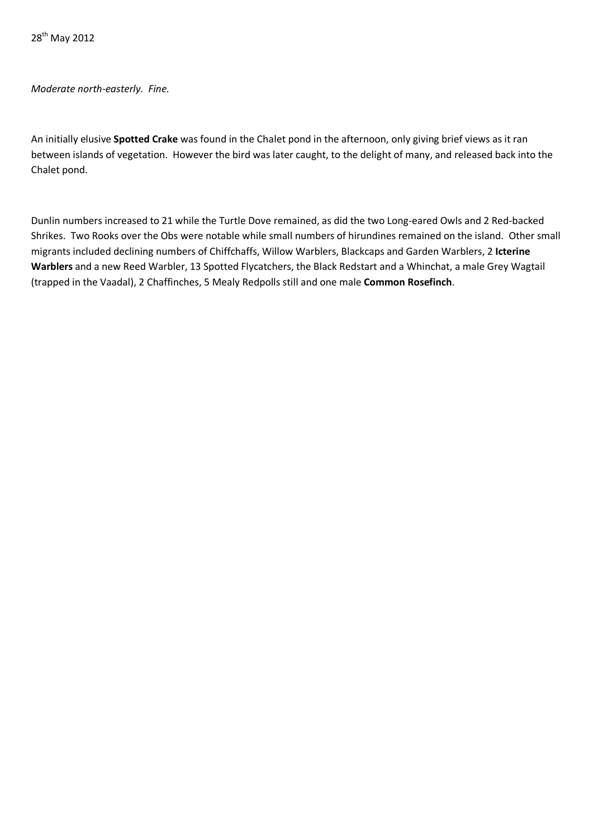*Moderate north-easterly. Fine.*

An initially elusive **Spotted Crake** was found in the Chalet pond in the afternoon, only giving brief views as it ran between islands of vegetation. However the bird was later caught, to the delight of many, and released back into the Chalet pond.

Dunlin numbers increased to 21 while the Turtle Dove remained, as did the two Long-eared Owls and 2 Red-backed Shrikes. Two Rooks over the Obs were notable while small numbers of hirundines remained on the island. Other small migrants included declining numbers of Chiffchaffs, Willow Warblers, Blackcaps and Garden Warblers, 2 **Icterine Warblers** and a new Reed Warbler, 13 Spotted Flycatchers, the Black Redstart and a Whinchat, a male Grey Wagtail (trapped in the Vaadal), 2 Chaffinches, 5 Mealy Redpolls still and one male **Common Rosefinch**.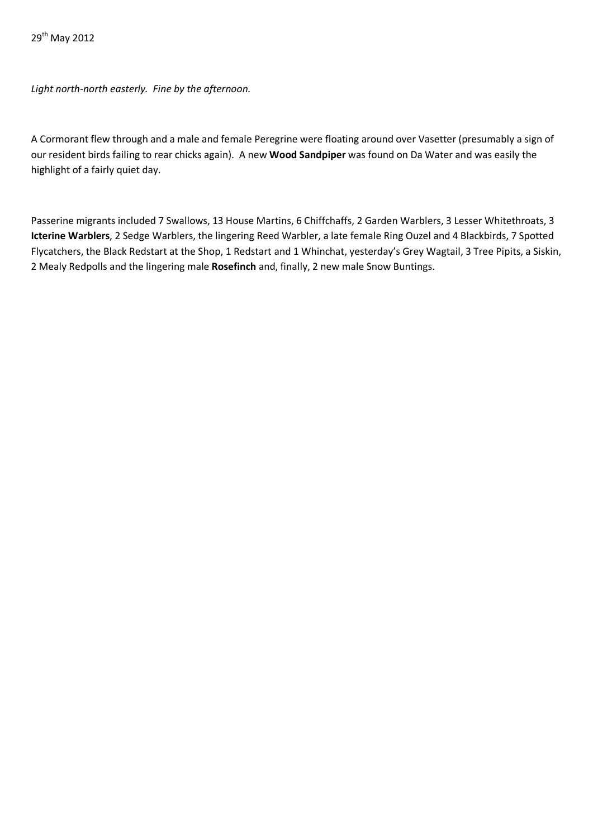*Light north-north easterly. Fine by the afternoon.*

A Cormorant flew through and a male and female Peregrine were floating around over Vasetter (presumably a sign of our resident birds failing to rear chicks again). A new **Wood Sandpiper** was found on Da Water and was easily the highlight of a fairly quiet day.

Passerine migrants included 7 Swallows, 13 House Martins, 6 Chiffchaffs, 2 Garden Warblers, 3 Lesser Whitethroats, 3 **Icterine Warblers**, 2 Sedge Warblers, the lingering Reed Warbler, a late female Ring Ouzel and 4 Blackbirds, 7 Spotted Flycatchers, the Black Redstart at the Shop, 1 Redstart and 1 Whinchat, yesterday's Grey Wagtail, 3 Tree Pipits, a Siskin, 2 Mealy Redpolls and the lingering male **Rosefinch** and, finally, 2 new male Snow Buntings.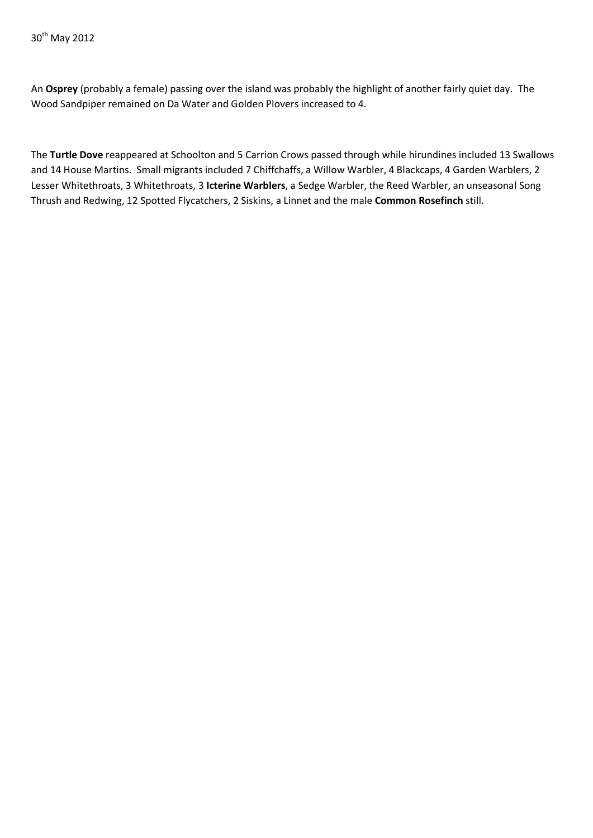An **Osprey** (probably a female) passing over the island was probably the highlight of another fairly quiet day. The Wood Sandpiper remained on Da Water and Golden Plovers increased to 4.

The **Turtle Dove** reappeared at Schoolton and 5 Carrion Crows passed through while hirundines included 13 Swallows and 14 House Martins. Small migrants included 7 Chiffchaffs, a Willow Warbler, 4 Blackcaps, 4 Garden Warblers, 2 Lesser Whitethroats, 3 Whitethroats, 3 **Icterine Warblers**, a Sedge Warbler, the Reed Warbler, an unseasonal Song Thrush and Redwing, 12 Spotted Flycatchers, 2 Siskins, a Linnet and the male **Common Rosefinch** still.